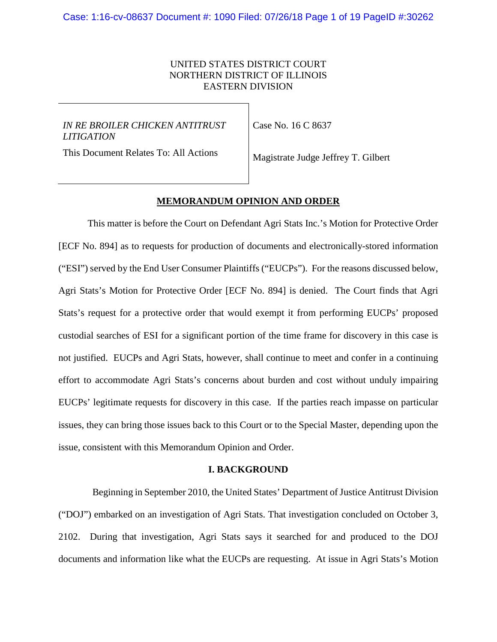## UNITED STATES DISTRICT COURT NORTHERN DISTRICT OF ILLINOIS EASTERN DIVISION

## *IN RE BROILER CHICKEN ANTITRUST LITIGATION*

Case No. 16 C 8637

This Document Relates To: All Actions

Magistrate Judge Jeffrey T. Gilbert

## **MEMORANDUM OPINION AND ORDER**

This matter is before the Court on Defendant Agri Stats Inc.'s Motion for Protective Order [ECF No. 894] as to requests for production of documents and electronically-stored information ("ESI") served by the End User Consumer Plaintiffs ("EUCPs"). For the reasons discussed below, Agri Stats's Motion for Protective Order [ECF No. 894] is denied. The Court finds that Agri Stats's request for a protective order that would exempt it from performing EUCPs' proposed custodial searches of ESI for a significant portion of the time frame for discovery in this case is not justified. EUCPs and Agri Stats, however, shall continue to meet and confer in a continuing effort to accommodate Agri Stats's concerns about burden and cost without unduly impairing EUCPs' legitimate requests for discovery in this case. If the parties reach impasse on particular issues, they can bring those issues back to this Court or to the Special Master, depending upon the issue, consistent with this Memorandum Opinion and Order.

## **I. BACKGROUND**

 Beginning in September 2010, the United States' Department of Justice Antitrust Division ("DOJ") embarked on an investigation of Agri Stats. That investigation concluded on October 3, 2102. During that investigation, Agri Stats says it searched for and produced to the DOJ documents and information like what the EUCPs are requesting. At issue in Agri Stats's Motion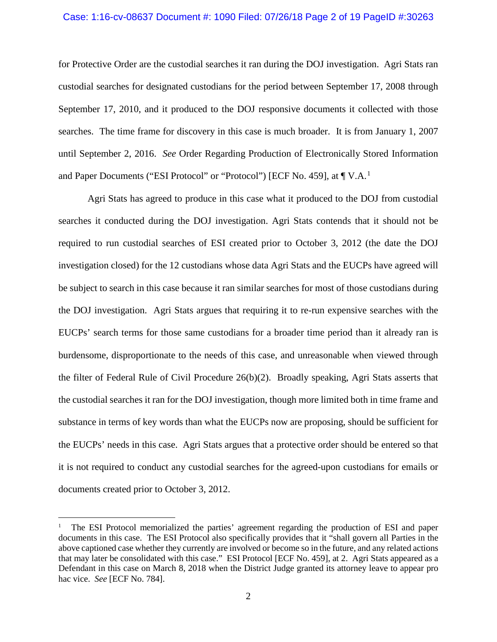### Case: 1:16-cv-08637 Document #: 1090 Filed: 07/26/18 Page 2 of 19 PageID #:30263

for Protective Order are the custodial searches it ran during the DOJ investigation. Agri Stats ran custodial searches for designated custodians for the period between September 17, 2008 through September 17, 2010, and it produced to the DOJ responsive documents it collected with those searches. The time frame for discovery in this case is much broader. It is from January 1, 2007 until September 2, 2016. *See* Order Regarding Production of Electronically Stored Information and Paper Documents ("ESI Protocol" or "Protocol") [ECF No. 459], at  $\P$  V.A.<sup>[1](#page-1-0)</sup>

Agri Stats has agreed to produce in this case what it produced to the DOJ from custodial searches it conducted during the DOJ investigation. Agri Stats contends that it should not be required to run custodial searches of ESI created prior to October 3, 2012 (the date the DOJ investigation closed) for the 12 custodians whose data Agri Stats and the EUCPs have agreed will be subject to search in this case because it ran similar searches for most of those custodians during the DOJ investigation. Agri Stats argues that requiring it to re-run expensive searches with the EUCPs' search terms for those same custodians for a broader time period than it already ran is burdensome, disproportionate to the needs of this case, and unreasonable when viewed through the filter of Federal Rule of Civil Procedure 26(b)(2). Broadly speaking, Agri Stats asserts that the custodial searches it ran for the DOJ investigation, though more limited both in time frame and substance in terms of key words than what the EUCPs now are proposing, should be sufficient for the EUCPs' needs in this case. Agri Stats argues that a protective order should be entered so that it is not required to conduct any custodial searches for the agreed-upon custodians for emails or documents created prior to October 3, 2012.

<span id="page-1-0"></span> <sup>1</sup> The ESI Protocol memorialized the parties' agreement regarding the production of ESI and paper documents in this case. The ESI Protocol also specifically provides that it "shall govern all Parties in the above captioned case whether they currently are involved or become so in the future, and any related actions that may later be consolidated with this case." ESI Protocol [ECF No. 459], at 2. Agri Stats appeared as a Defendant in this case on March 8, 2018 when the District Judge granted its attorney leave to appear pro hac vice. *See* [ECF No. 784].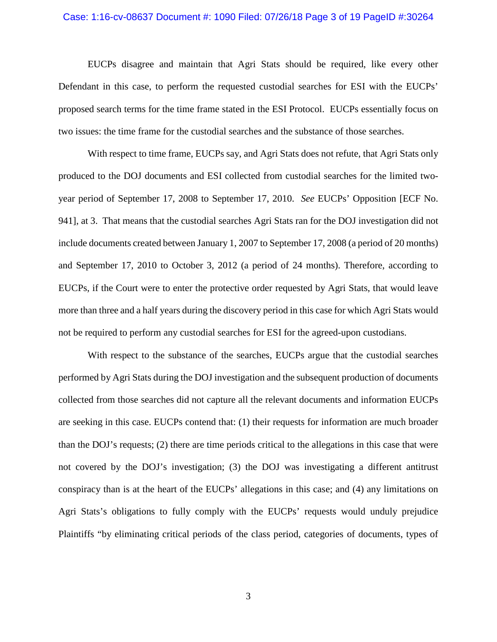### Case: 1:16-cv-08637 Document #: 1090 Filed: 07/26/18 Page 3 of 19 PageID #:30264

EUCPs disagree and maintain that Agri Stats should be required, like every other Defendant in this case, to perform the requested custodial searches for ESI with the EUCPs' proposed search terms for the time frame stated in the ESI Protocol. EUCPs essentially focus on two issues: the time frame for the custodial searches and the substance of those searches.

With respect to time frame, EUCPs say, and Agri Stats does not refute, that Agri Stats only produced to the DOJ documents and ESI collected from custodial searches for the limited twoyear period of September 17, 2008 to September 17, 2010. *See* EUCPs' Opposition [ECF No. 941], at 3. That means that the custodial searches Agri Stats ran for the DOJ investigation did not include documents created between January 1, 2007 to September 17, 2008 (a period of 20 months) and September 17, 2010 to October 3, 2012 (a period of 24 months). Therefore, according to EUCPs, if the Court were to enter the protective order requested by Agri Stats, that would leave more than three and a half years during the discovery period in this case for which Agri Stats would not be required to perform any custodial searches for ESI for the agreed-upon custodians.

With respect to the substance of the searches, EUCPs argue that the custodial searches performed by Agri Stats during the DOJ investigation and the subsequent production of documents collected from those searches did not capture all the relevant documents and information EUCPs are seeking in this case. EUCPs contend that: (1) their requests for information are much broader than the DOJ's requests; (2) there are time periods critical to the allegations in this case that were not covered by the DOJ's investigation; (3) the DOJ was investigating a different antitrust conspiracy than is at the heart of the EUCPs' allegations in this case; and (4) any limitations on Agri Stats's obligations to fully comply with the EUCPs' requests would unduly prejudice Plaintiffs "by eliminating critical periods of the class period, categories of documents, types of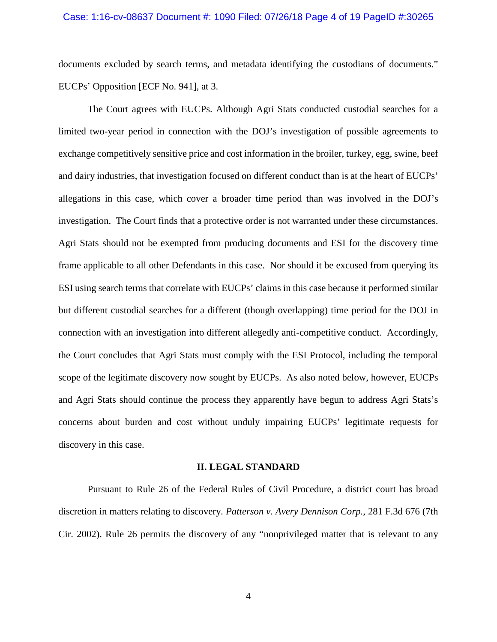### Case: 1:16-cv-08637 Document #: 1090 Filed: 07/26/18 Page 4 of 19 PageID #:30265

documents excluded by search terms, and metadata identifying the custodians of documents." EUCPs' Opposition [ECF No. 941], at 3.

The Court agrees with EUCPs. Although Agri Stats conducted custodial searches for a limited two-year period in connection with the DOJ's investigation of possible agreements to exchange competitively sensitive price and cost information in the broiler, turkey, egg, swine, beef and dairy industries, that investigation focused on different conduct than is at the heart of EUCPs' allegations in this case, which cover a broader time period than was involved in the DOJ's investigation. The Court finds that a protective order is not warranted under these circumstances. Agri Stats should not be exempted from producing documents and ESI for the discovery time frame applicable to all other Defendants in this case. Nor should it be excused from querying its ESI using search terms that correlate with EUCPs' claims in this case because it performed similar but different custodial searches for a different (though overlapping) time period for the DOJ in connection with an investigation into different allegedly anti-competitive conduct. Accordingly, the Court concludes that Agri Stats must comply with the ESI Protocol, including the temporal scope of the legitimate discovery now sought by EUCPs. As also noted below, however, EUCPs and Agri Stats should continue the process they apparently have begun to address Agri Stats's concerns about burden and cost without unduly impairing EUCPs' legitimate requests for discovery in this case.

#### **II. LEGAL STANDARD**

Pursuant to Rule 26 of the Federal Rules of Civil Procedure, a district court has broad discretion in matters relating to discovery. *Patterson v. Avery Dennison Corp.*, 281 F.3d 676 (7th Cir. 2002). Rule 26 permits the discovery of any "nonprivileged matter that is relevant to any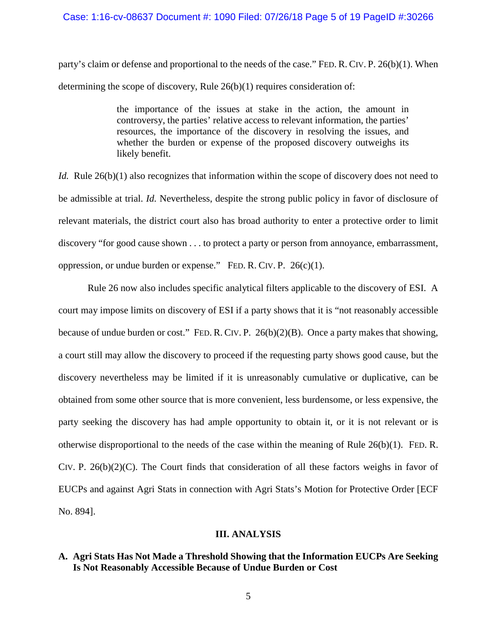### Case: 1:16-cv-08637 Document #: 1090 Filed: 07/26/18 Page 5 of 19 PageID #:30266

party's claim or defense and proportional to the needs of the case." FED. R. CIV. P. 26(b)(1). When determining the scope of discovery, Rule 26(b)(1) requires consideration of:

> the importance of the issues at stake in the action, the amount in controversy, the parties' relative access to relevant information, the parties' resources, the importance of the discovery in resolving the issues, and whether the burden or expense of the proposed discovery outweighs its likely benefit.

*Id.* Rule 26(b)(1) also recognizes that information within the scope of discovery does not need to be admissible at trial. *Id.* Nevertheless, despite the strong public policy in favor of disclosure of relevant materials, the district court also has broad authority to enter a protective order to limit discovery "for good cause shown . . . to protect a party or person from annoyance, embarrassment, oppression, or undue burden or expense." FED. R. CIV. P.  $26(c)(1)$ .

Rule 26 now also includes specific analytical filters applicable to the discovery of ESI. A court may impose limits on discovery of ESI if a party shows that it is "not reasonably accessible because of undue burden or cost." FED. R. CIV. P. 26(b)(2)(B). Once a party makes that showing, a court still may allow the discovery to proceed if the requesting party shows good cause, but the discovery nevertheless may be limited if it is unreasonably cumulative or duplicative, can be obtained from some other source that is more convenient, less burdensome, or less expensive, the party seeking the discovery has had ample opportunity to obtain it, or it is not relevant or is otherwise disproportional to the needs of the case within the meaning of Rule  $26(b)(1)$ . FED. R. CIV. P. 26(b)(2)(C). The Court finds that consideration of all these factors weighs in favor of EUCPs and against Agri Stats in connection with Agri Stats's Motion for Protective Order [ECF No. 894].

## **III. ANALYSIS**

## **A. Agri Stats Has Not Made a Threshold Showing that the Information EUCPs Are Seeking Is Not Reasonably Accessible Because of Undue Burden or Cost**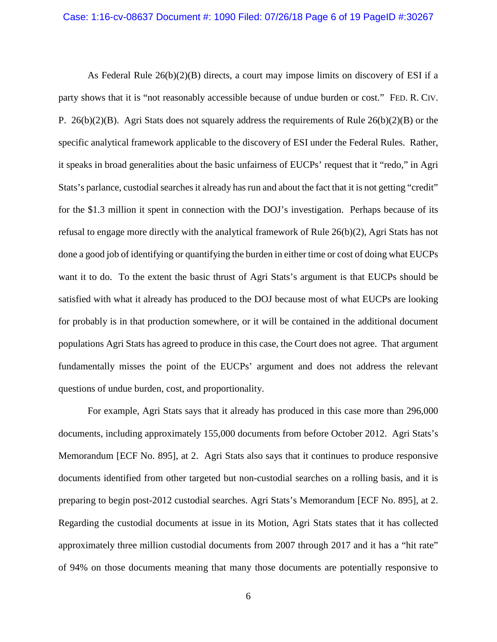As Federal Rule 26(b)(2)(B) directs, a court may impose limits on discovery of ESI if a party shows that it is "not reasonably accessible because of undue burden or cost." FED. R. CIV. P. 26(b)(2)(B). Agri Stats does not squarely address the requirements of Rule 26(b)(2)(B) or the specific analytical framework applicable to the discovery of ESI under the Federal Rules. Rather, it speaks in broad generalities about the basic unfairness of EUCPs' request that it "redo," in Agri Stats's parlance, custodial searches it already has run and about the fact that it is not getting "credit" for the \$1.3 million it spent in connection with the DOJ's investigation. Perhaps because of its refusal to engage more directly with the analytical framework of Rule 26(b)(2), Agri Stats has not done a good job of identifying or quantifying the burden in either time or cost of doing what EUCPs want it to do. To the extent the basic thrust of Agri Stats's argument is that EUCPs should be satisfied with what it already has produced to the DOJ because most of what EUCPs are looking for probably is in that production somewhere, or it will be contained in the additional document populations Agri Stats has agreed to produce in this case, the Court does not agree. That argument fundamentally misses the point of the EUCPs' argument and does not address the relevant questions of undue burden, cost, and proportionality.

For example, Agri Stats says that it already has produced in this case more than 296,000 documents, including approximately 155,000 documents from before October 2012. Agri Stats's Memorandum [ECF No. 895], at 2. Agri Stats also says that it continues to produce responsive documents identified from other targeted but non-custodial searches on a rolling basis, and it is preparing to begin post-2012 custodial searches. Agri Stats's Memorandum [ECF No. 895], at 2. Regarding the custodial documents at issue in its Motion, Agri Stats states that it has collected approximately three million custodial documents from 2007 through 2017 and it has a "hit rate" of 94% on those documents meaning that many those documents are potentially responsive to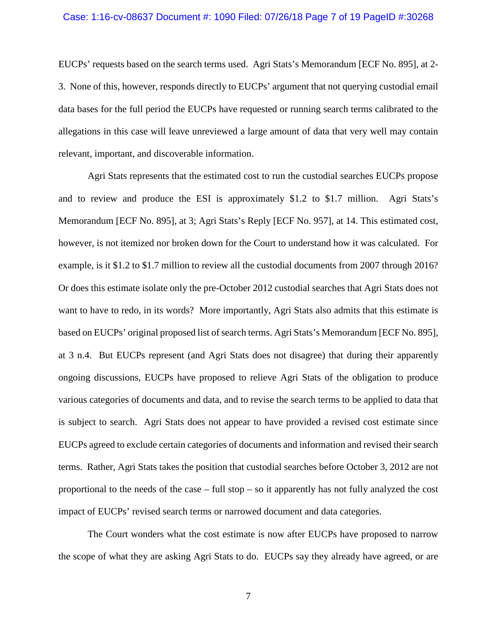### Case: 1:16-cv-08637 Document #: 1090 Filed: 07/26/18 Page 7 of 19 PageID #:30268

EUCPs' requests based on the search terms used. Agri Stats's Memorandum [ECF No. 895], at 2- 3. None of this, however, responds directly to EUCPs' argument that not querying custodial email data bases for the full period the EUCPs have requested or running search terms calibrated to the allegations in this case will leave unreviewed a large amount of data that very well may contain relevant, important, and discoverable information.

Agri Stats represents that the estimated cost to run the custodial searches EUCPs propose and to review and produce the ESI is approximately \$1.2 to \$1.7 million. Agri Stats's Memorandum [ECF No. 895], at 3; Agri Stats's Reply [ECF No. 957], at 14. This estimated cost, however, is not itemized nor broken down for the Court to understand how it was calculated. For example, is it \$1.2 to \$1.7 million to review all the custodial documents from 2007 through 2016? Or does this estimate isolate only the pre-October 2012 custodial searches that Agri Stats does not want to have to redo, in its words? More importantly, Agri Stats also admits that this estimate is based on EUCPs' original proposed list of search terms. Agri Stats's Memorandum [ECF No. 895], at 3 n.4. But EUCPs represent (and Agri Stats does not disagree) that during their apparently ongoing discussions, EUCPs have proposed to relieve Agri Stats of the obligation to produce various categories of documents and data, and to revise the search terms to be applied to data that is subject to search. Agri Stats does not appear to have provided a revised cost estimate since EUCPs agreed to exclude certain categories of documents and information and revised their search terms. Rather, Agri Stats takes the position that custodial searches before October 3, 2012 are not proportional to the needs of the case – full stop – so it apparently has not fully analyzed the cost impact of EUCPs' revised search terms or narrowed document and data categories.

The Court wonders what the cost estimate is now after EUCPs have proposed to narrow the scope of what they are asking Agri Stats to do. EUCPs say they already have agreed, or are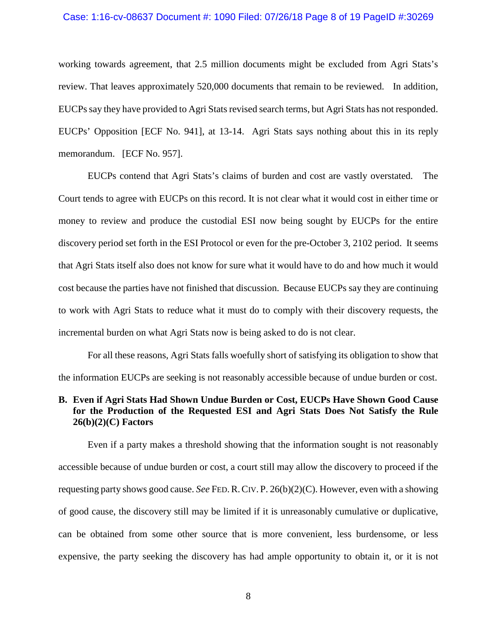### Case: 1:16-cv-08637 Document #: 1090 Filed: 07/26/18 Page 8 of 19 PageID #:30269

working towards agreement, that 2.5 million documents might be excluded from Agri Stats's review. That leaves approximately 520,000 documents that remain to be reviewed. In addition, EUCPs say they have provided to Agri Stats revised search terms, but Agri Stats has not responded. EUCPs' Opposition [ECF No. 941], at 13-14. Agri Stats says nothing about this in its reply memorandum. [ECF No. 957].

EUCPs contend that Agri Stats's claims of burden and cost are vastly overstated. The Court tends to agree with EUCPs on this record. It is not clear what it would cost in either time or money to review and produce the custodial ESI now being sought by EUCPs for the entire discovery period set forth in the ESI Protocol or even for the pre-October 3, 2102 period. It seems that Agri Stats itself also does not know for sure what it would have to do and how much it would cost because the parties have not finished that discussion. Because EUCPs say they are continuing to work with Agri Stats to reduce what it must do to comply with their discovery requests, the incremental burden on what Agri Stats now is being asked to do is not clear.

For all these reasons, Agri Stats falls woefully short of satisfying its obligation to show that the information EUCPs are seeking is not reasonably accessible because of undue burden or cost.

## **B. Even if Agri Stats Had Shown Undue Burden or Cost, EUCPs Have Shown Good Cause for the Production of the Requested ESI and Agri Stats Does Not Satisfy the Rule 26(b)(2)(C) Factors**

Even if a party makes a threshold showing that the information sought is not reasonably accessible because of undue burden or cost, a court still may allow the discovery to proceed if the requesting party shows good cause. *See* FED.R.CIV. P. 26(b)(2)(C). However, even with a showing of good cause, the discovery still may be limited if it is unreasonably cumulative or duplicative, can be obtained from some other source that is more convenient, less burdensome, or less expensive, the party seeking the discovery has had ample opportunity to obtain it, or it is not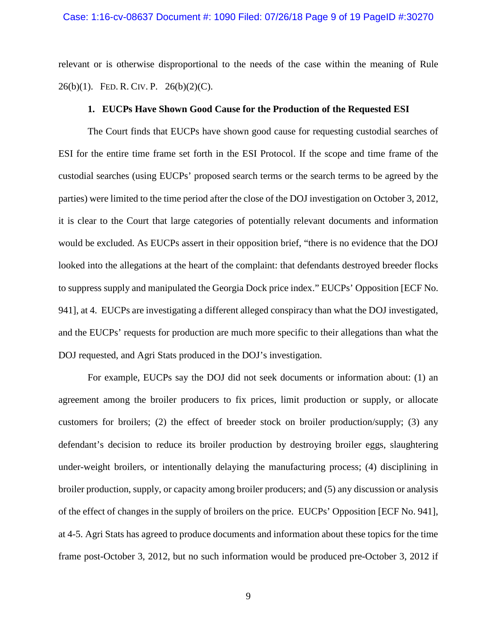relevant or is otherwise disproportional to the needs of the case within the meaning of Rule 26(b)(1). FED. R. CIV. P.  $26(b)(2)(C)$ .

### **1. EUCPs Have Shown Good Cause for the Production of the Requested ESI**

The Court finds that EUCPs have shown good cause for requesting custodial searches of ESI for the entire time frame set forth in the ESI Protocol. If the scope and time frame of the custodial searches (using EUCPs' proposed search terms or the search terms to be agreed by the parties) were limited to the time period after the close of the DOJ investigation on October 3, 2012, it is clear to the Court that large categories of potentially relevant documents and information would be excluded. As EUCPs assert in their opposition brief, "there is no evidence that the DOJ looked into the allegations at the heart of the complaint: that defendants destroyed breeder flocks to suppress supply and manipulated the Georgia Dock price index." EUCPs' Opposition [ECF No. 941], at 4. EUCPs are investigating a different alleged conspiracy than what the DOJ investigated, and the EUCPs' requests for production are much more specific to their allegations than what the DOJ requested, and Agri Stats produced in the DOJ's investigation.

For example, EUCPs say the DOJ did not seek documents or information about: (1) an agreement among the broiler producers to fix prices, limit production or supply, or allocate customers for broilers; (2) the effect of breeder stock on broiler production/supply; (3) any defendant's decision to reduce its broiler production by destroying broiler eggs, slaughtering under-weight broilers, or intentionally delaying the manufacturing process; (4) disciplining in broiler production, supply, or capacity among broiler producers; and (5) any discussion or analysis of the effect of changes in the supply of broilers on the price. EUCPs' Opposition [ECF No. 941], at 4-5. Agri Stats has agreed to produce documents and information about these topics for the time frame post-October 3, 2012, but no such information would be produced pre-October 3, 2012 if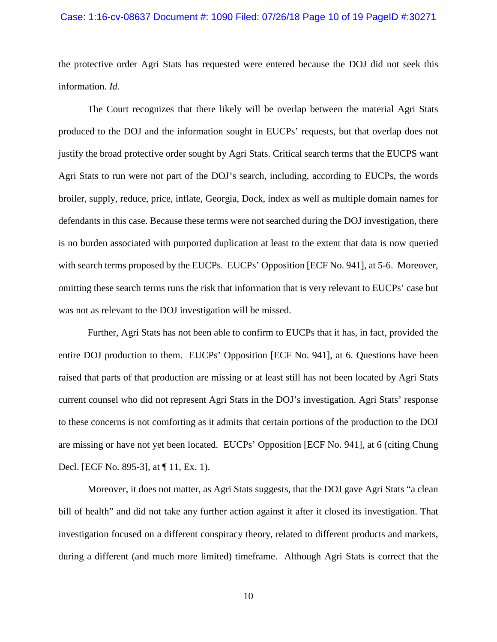#### Case: 1:16-cv-08637 Document #: 1090 Filed: 07/26/18 Page 10 of 19 PageID #:30271

the protective order Agri Stats has requested were entered because the DOJ did not seek this information. *Id.*

The Court recognizes that there likely will be overlap between the material Agri Stats produced to the DOJ and the information sought in EUCPs' requests, but that overlap does not justify the broad protective order sought by Agri Stats. Critical search terms that the EUCPS want Agri Stats to run were not part of the DOJ's search, including, according to EUCPs, the words broiler, supply, reduce, price, inflate, Georgia, Dock, index as well as multiple domain names for defendants in this case. Because these terms were not searched during the DOJ investigation, there is no burden associated with purported duplication at least to the extent that data is now queried with search terms proposed by the EUCPs. EUCPs' Opposition [ECF No. 941], at 5-6. Moreover, omitting these search terms runs the risk that information that is very relevant to EUCPs' case but was not as relevant to the DOJ investigation will be missed.

Further, Agri Stats has not been able to confirm to EUCPs that it has, in fact, provided the entire DOJ production to them. EUCPs' Opposition [ECF No. 941], at 6. Questions have been raised that parts of that production are missing or at least still has not been located by Agri Stats current counsel who did not represent Agri Stats in the DOJ's investigation. Agri Stats' response to these concerns is not comforting as it admits that certain portions of the production to the DOJ are missing or have not yet been located. EUCPs' Opposition [ECF No. 941], at 6 (citing Chung Decl. [ECF No. 895-3], at ¶ 11, Ex. 1).

Moreover, it does not matter, as Agri Stats suggests, that the DOJ gave Agri Stats "a clean bill of health" and did not take any further action against it after it closed its investigation. That investigation focused on a different conspiracy theory, related to different products and markets, during a different (and much more limited) timeframe. Although Agri Stats is correct that the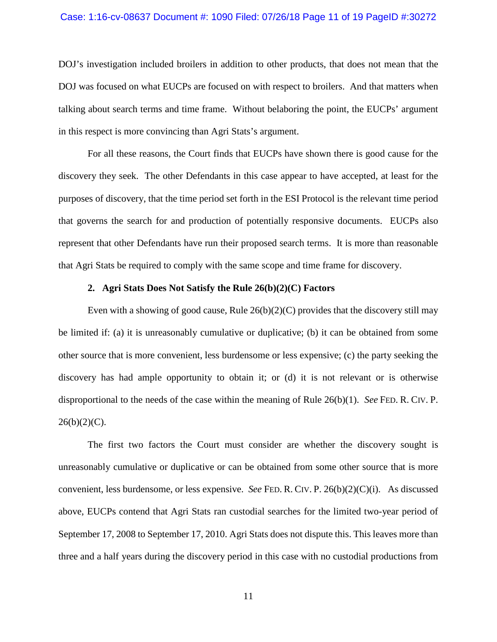#### Case: 1:16-cv-08637 Document #: 1090 Filed: 07/26/18 Page 11 of 19 PageID #:30272

DOJ's investigation included broilers in addition to other products, that does not mean that the DOJ was focused on what EUCPs are focused on with respect to broilers. And that matters when talking about search terms and time frame. Without belaboring the point, the EUCPs' argument in this respect is more convincing than Agri Stats's argument.

For all these reasons, the Court finds that EUCPs have shown there is good cause for the discovery they seek. The other Defendants in this case appear to have accepted, at least for the purposes of discovery, that the time period set forth in the ESI Protocol is the relevant time period that governs the search for and production of potentially responsive documents. EUCPs also represent that other Defendants have run their proposed search terms. It is more than reasonable that Agri Stats be required to comply with the same scope and time frame for discovery.

## **2. Agri Stats Does Not Satisfy the Rule 26(b)(2)(C) Factors**

Even with a showing of good cause, Rule  $26(b)(2)(C)$  provides that the discovery still may be limited if: (a) it is unreasonably cumulative or duplicative; (b) it can be obtained from some other source that is more convenient, less burdensome or less expensive; (c) the party seeking the discovery has had ample opportunity to obtain it; or (d) it is not relevant or is otherwise disproportional to the needs of the case within the meaning of Rule 26(b)(1). *See* FED. R. CIV. P.  $26(b)(2)(C)$ .

The first two factors the Court must consider are whether the discovery sought is unreasonably cumulative or duplicative or can be obtained from some other source that is more convenient, less burdensome, or less expensive. *See* FED. R. CIV. P. 26(b)(2)(C)(i). As discussed above, EUCPs contend that Agri Stats ran custodial searches for the limited two-year period of September 17, 2008 to September 17, 2010. Agri Stats does not dispute this. This leaves more than three and a half years during the discovery period in this case with no custodial productions from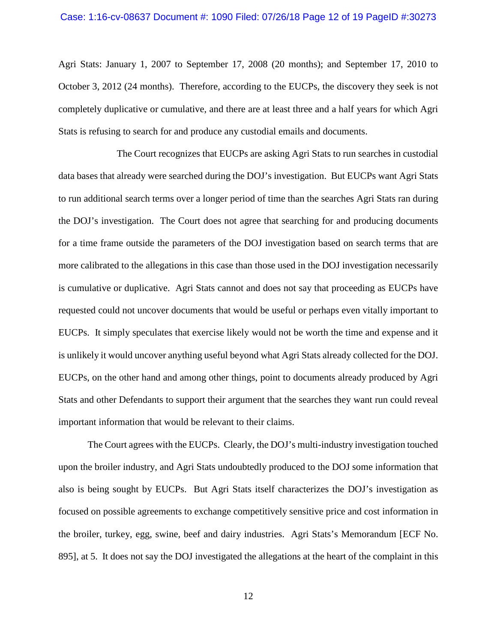#### Case: 1:16-cv-08637 Document #: 1090 Filed: 07/26/18 Page 12 of 19 PageID #:30273

Agri Stats: January 1, 2007 to September 17, 2008 (20 months); and September 17, 2010 to October 3, 2012 (24 months). Therefore, according to the EUCPs, the discovery they seek is not completely duplicative or cumulative, and there are at least three and a half years for which Agri Stats is refusing to search for and produce any custodial emails and documents.

The Court recognizes that EUCPs are asking Agri Stats to run searches in custodial data bases that already were searched during the DOJ's investigation. But EUCPs want Agri Stats to run additional search terms over a longer period of time than the searches Agri Stats ran during the DOJ's investigation. The Court does not agree that searching for and producing documents for a time frame outside the parameters of the DOJ investigation based on search terms that are more calibrated to the allegations in this case than those used in the DOJ investigation necessarily is cumulative or duplicative. Agri Stats cannot and does not say that proceeding as EUCPs have requested could not uncover documents that would be useful or perhaps even vitally important to EUCPs. It simply speculates that exercise likely would not be worth the time and expense and it is unlikely it would uncover anything useful beyond what Agri Stats already collected for the DOJ. EUCPs, on the other hand and among other things, point to documents already produced by Agri Stats and other Defendants to support their argument that the searches they want run could reveal important information that would be relevant to their claims.

The Court agrees with the EUCPs. Clearly, the DOJ's multi-industry investigation touched upon the broiler industry, and Agri Stats undoubtedly produced to the DOJ some information that also is being sought by EUCPs. But Agri Stats itself characterizes the DOJ's investigation as focused on possible agreements to exchange competitively sensitive price and cost information in the broiler, turkey, egg, swine, beef and dairy industries. Agri Stats's Memorandum [ECF No. 895], at 5. It does not say the DOJ investigated the allegations at the heart of the complaint in this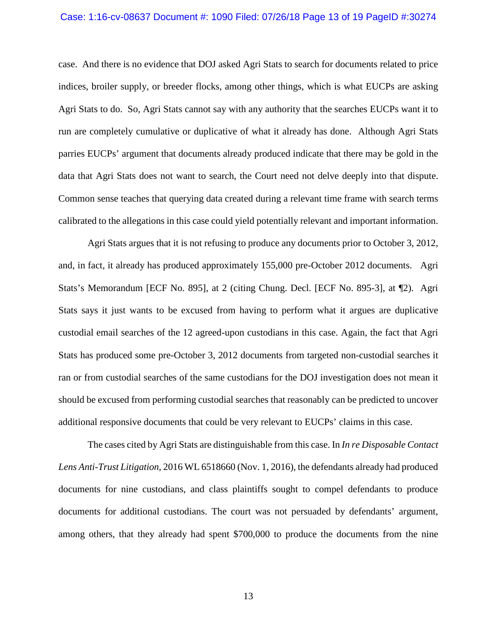### Case: 1:16-cv-08637 Document #: 1090 Filed: 07/26/18 Page 13 of 19 PageID #:30274

case. And there is no evidence that DOJ asked Agri Stats to search for documents related to price indices, broiler supply, or breeder flocks, among other things, which is what EUCPs are asking Agri Stats to do. So, Agri Stats cannot say with any authority that the searches EUCPs want it to run are completely cumulative or duplicative of what it already has done. Although Agri Stats parries EUCPs' argument that documents already produced indicate that there may be gold in the data that Agri Stats does not want to search, the Court need not delve deeply into that dispute. Common sense teaches that querying data created during a relevant time frame with search terms calibrated to the allegations in this case could yield potentially relevant and important information.

Agri Stats argues that it is not refusing to produce any documents prior to October 3, 2012, and, in fact, it already has produced approximately 155,000 pre-October 2012 documents. Agri Stats's Memorandum [ECF No. 895], at 2 (citing Chung. Decl. [ECF No. 895-3], at ¶2). Agri Stats says it just wants to be excused from having to perform what it argues are duplicative custodial email searches of the 12 agreed-upon custodians in this case. Again, the fact that Agri Stats has produced some pre-October 3, 2012 documents from targeted non-custodial searches it ran or from custodial searches of the same custodians for the DOJ investigation does not mean it should be excused from performing custodial searches that reasonably can be predicted to uncover additional responsive documents that could be very relevant to EUCPs' claims in this case.

The cases cited by Agri Stats are distinguishable from this case. In *In re Disposable Contact Lens Anti-Trust Litigation*, 2016 WL 6518660 (Nov. 1, 2016), the defendants already had produced documents for nine custodians, and class plaintiffs sought to compel defendants to produce documents for additional custodians. The court was not persuaded by defendants' argument, among others, that they already had spent \$700,000 to produce the documents from the nine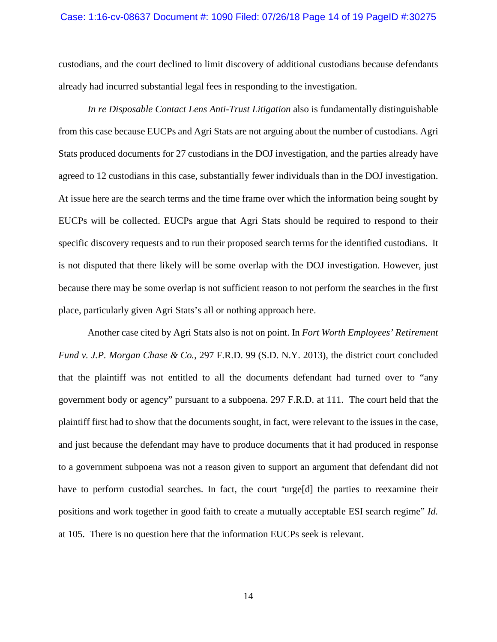#### Case: 1:16-cv-08637 Document #: 1090 Filed: 07/26/18 Page 14 of 19 PageID #:30275

custodians, and the court declined to limit discovery of additional custodians because defendants already had incurred substantial legal fees in responding to the investigation.

*In re Disposable Contact Lens Anti-Trust Litigation* also is fundamentally distinguishable from this case because EUCPs and Agri Stats are not arguing about the number of custodians. Agri Stats produced documents for 27 custodians in the DOJ investigation, and the parties already have agreed to 12 custodians in this case, substantially fewer individuals than in the DOJ investigation. At issue here are the search terms and the time frame over which the information being sought by EUCPs will be collected. EUCPs argue that Agri Stats should be required to respond to their specific discovery requests and to run their proposed search terms for the identified custodians. It is not disputed that there likely will be some overlap with the DOJ investigation. However, just because there may be some overlap is not sufficient reason to not perform the searches in the first place, particularly given Agri Stats's all or nothing approach here.

Another case cited by Agri Stats also is not on point. In *Fort Worth Employees' Retirement Fund v. J.P. Morgan Chase & Co.*, 297 F.R.D. 99 (S.D. N.Y. 2013), the district court concluded that the plaintiff was not entitled to all the documents defendant had turned over to "any government body or agency" pursuant to a subpoena. 297 F.R.D. at 111. The court held that the plaintiff first had to show that the documents sought, in fact, were relevant to the issues in the case, and just because the defendant may have to produce documents that it had produced in response to a government subpoena was not a reason given to support an argument that defendant did not have to perform custodial searches. In fact, the court "urge[d] the parties to reexamine their positions and work together in good faith to create a mutually acceptable ESI search regime" *Id.* at 105. There is no question here that the information EUCPs seek is relevant.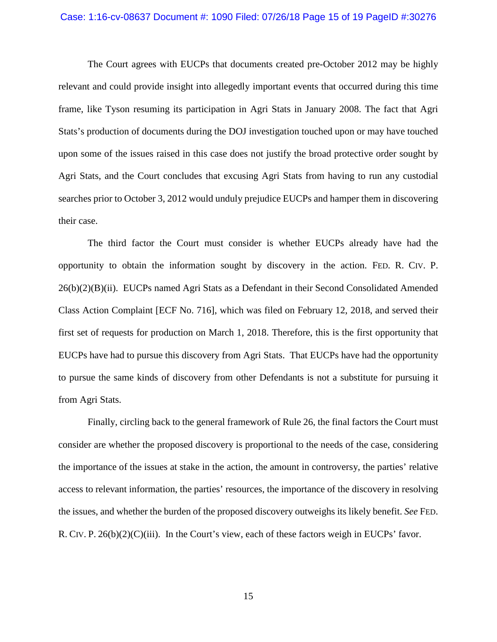#### Case: 1:16-cv-08637 Document #: 1090 Filed: 07/26/18 Page 15 of 19 PageID #:30276

The Court agrees with EUCPs that documents created pre-October 2012 may be highly relevant and could provide insight into allegedly important events that occurred during this time frame, like Tyson resuming its participation in Agri Stats in January 2008. The fact that Agri Stats's production of documents during the DOJ investigation touched upon or may have touched upon some of the issues raised in this case does not justify the broad protective order sought by Agri Stats, and the Court concludes that excusing Agri Stats from having to run any custodial searches prior to October 3, 2012 would unduly prejudice EUCPs and hamper them in discovering their case.

The third factor the Court must consider is whether EUCPs already have had the opportunity to obtain the information sought by discovery in the action. FED. R. CIV. P. 26(b)(2)(B)(ii). EUCPs named Agri Stats as a Defendant in their Second Consolidated Amended Class Action Complaint [ECF No. 716], which was filed on February 12, 2018, and served their first set of requests for production on March 1, 2018. Therefore, this is the first opportunity that EUCPs have had to pursue this discovery from Agri Stats. That EUCPs have had the opportunity to pursue the same kinds of discovery from other Defendants is not a substitute for pursuing it from Agri Stats.

Finally, circling back to the general framework of Rule 26, the final factors the Court must consider are whether the proposed discovery is proportional to the needs of the case, considering the importance of the issues at stake in the action, the amount in controversy, the parties' relative access to relevant information, the parties' resources, the importance of the discovery in resolving the issues, and whether the burden of the proposed discovery outweighs its likely benefit. *See* FED. R. CIV. P.  $26(b)(2)(C)(iii)$ . In the Court's view, each of these factors weigh in EUCPs' favor.

15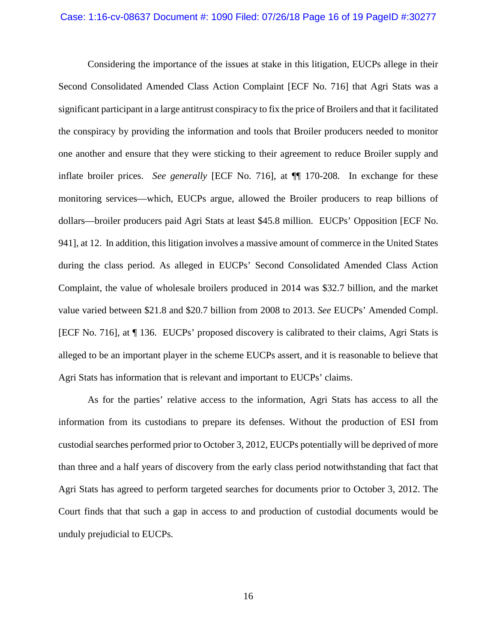#### Case: 1:16-cv-08637 Document #: 1090 Filed: 07/26/18 Page 16 of 19 PageID #:30277

Considering the importance of the issues at stake in this litigation, EUCPs allege in their Second Consolidated Amended Class Action Complaint [ECF No. 716] that Agri Stats was a significant participant in a large antitrust conspiracy to fix the price of Broilers and that it facilitated the conspiracy by providing the information and tools that Broiler producers needed to monitor one another and ensure that they were sticking to their agreement to reduce Broiler supply and inflate broiler prices. *See generally* [ECF No. 716], at ¶¶ 170-208. In exchange for these monitoring services—which, EUCPs argue, allowed the Broiler producers to reap billions of dollars—broiler producers paid Agri Stats at least \$45.8 million. EUCPs' Opposition [ECF No. 941], at 12. In addition, this litigation involves a massive amount of commerce in the United States during the class period. As alleged in EUCPs' Second Consolidated Amended Class Action Complaint, the value of wholesale broilers produced in 2014 was \$32.7 billion, and the market value varied between \$21.8 and \$20.7 billion from 2008 to 2013. *See* EUCPs' Amended Compl. [ECF No. 716], at ¶ 136. EUCPs' proposed discovery is calibrated to their claims, Agri Stats is alleged to be an important player in the scheme EUCPs assert, and it is reasonable to believe that Agri Stats has information that is relevant and important to EUCPs' claims.

As for the parties' relative access to the information, Agri Stats has access to all the information from its custodians to prepare its defenses. Without the production of ESI from custodial searches performed prior to October 3, 2012, EUCPs potentially will be deprived of more than three and a half years of discovery from the early class period notwithstanding that fact that Agri Stats has agreed to perform targeted searches for documents prior to October 3, 2012. The Court finds that that such a gap in access to and production of custodial documents would be unduly prejudicial to EUCPs.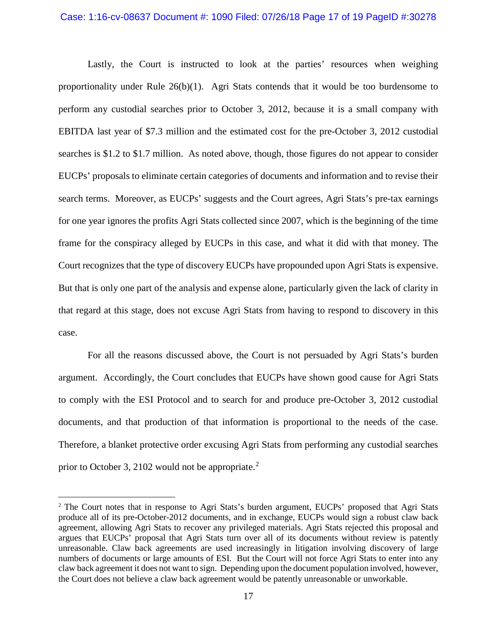#### Case: 1:16-cv-08637 Document #: 1090 Filed: 07/26/18 Page 17 of 19 PageID #:30278

Lastly, the Court is instructed to look at the parties' resources when weighing proportionality under Rule  $26(b)(1)$ . Agri Stats contends that it would be too burdensome to perform any custodial searches prior to October 3, 2012, because it is a small company with EBITDA last year of \$7.3 million and the estimated cost for the pre-October 3, 2012 custodial searches is \$1.2 to \$1.7 million. As noted above, though, those figures do not appear to consider EUCPs' proposals to eliminate certain categories of documents and information and to revise their search terms. Moreover, as EUCPs' suggests and the Court agrees, Agri Stats's pre-tax earnings for one year ignores the profits Agri Stats collected since 2007, which is the beginning of the time frame for the conspiracy alleged by EUCPs in this case, and what it did with that money. The Court recognizes that the type of discovery EUCPs have propounded upon Agri Stats is expensive. But that is only one part of the analysis and expense alone, particularly given the lack of clarity in that regard at this stage, does not excuse Agri Stats from having to respond to discovery in this case.

 For all the reasons discussed above, the Court is not persuaded by Agri Stats's burden argument. Accordingly, the Court concludes that EUCPs have shown good cause for Agri Stats to comply with the ESI Protocol and to search for and produce pre-October 3, 2012 custodial documents, and that production of that information is proportional to the needs of the case. Therefore, a blanket protective order excusing Agri Stats from performing any custodial searches prior to October 3, [2](#page-16-0)102 would not be appropriate.<sup>2</sup>

<span id="page-16-0"></span><sup>&</sup>lt;sup>2</sup> The Court notes that in response to Agri Stats's burden argument, EUCPs' proposed that Agri Stats produce all of its pre-October-2012 documents, and in exchange, EUCPs would sign a robust claw back agreement, allowing Agri Stats to recover any privileged materials. Agri Stats rejected this proposal and argues that EUCPs' proposal that Agri Stats turn over all of its documents without review is patently unreasonable. Claw back agreements are used increasingly in litigation involving discovery of large numbers of documents or large amounts of ESI. But the Court will not force Agri Stats to enter into any claw back agreement it does not want to sign. Depending upon the document population involved, however, the Court does not believe a claw back agreement would be patently unreasonable or unworkable.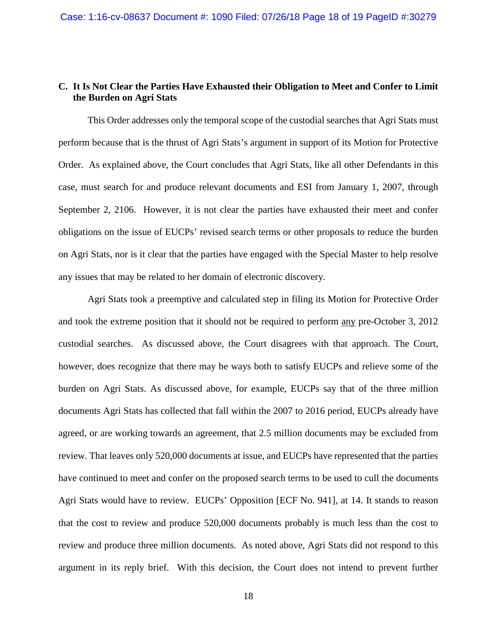## **C. It Is Not Clear the Parties Have Exhausted their Obligation to Meet and Confer to Limit the Burden on Agri Stats**

This Order addresses only the temporal scope of the custodial searches that Agri Stats must perform because that is the thrust of Agri Stats's argument in support of its Motion for Protective Order. As explained above, the Court concludes that Agri Stats, like all other Defendants in this case, must search for and produce relevant documents and ESI from January 1, 2007, through September 2, 2106. However, it is not clear the parties have exhausted their meet and confer obligations on the issue of EUCPs' revised search terms or other proposals to reduce the burden on Agri Stats, nor is it clear that the parties have engaged with the Special Master to help resolve any issues that may be related to her domain of electronic discovery.

Agri Stats took a preemptive and calculated step in filing its Motion for Protective Order and took the extreme position that it should not be required to perform any pre-October 3, 2012 custodial searches. As discussed above, the Court disagrees with that approach. The Court, however, does recognize that there may be ways both to satisfy EUCPs and relieve some of the burden on Agri Stats. As discussed above, for example, EUCPs say that of the three million documents Agri Stats has collected that fall within the 2007 to 2016 period, EUCPs already have agreed, or are working towards an agreement, that 2.5 million documents may be excluded from review. That leaves only 520,000 documents at issue, and EUCPs have represented that the parties have continued to meet and confer on the proposed search terms to be used to cull the documents Agri Stats would have to review. EUCPs' Opposition [ECF No. 941], at 14. It stands to reason that the cost to review and produce 520,000 documents probably is much less than the cost to review and produce three million documents. As noted above, Agri Stats did not respond to this argument in its reply brief. With this decision, the Court does not intend to prevent further